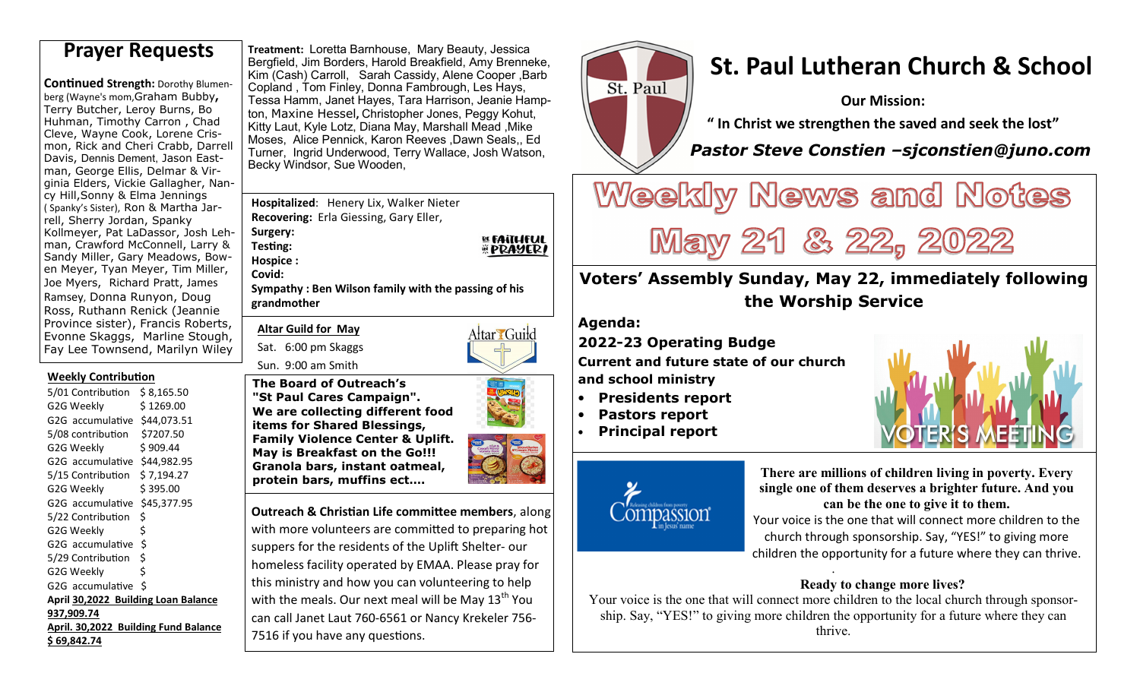**Continued Strength: Dorothy Blumen**berg (Wayne's mom,Graham Bubby**,** Terry Butcher, Leroy Burns, Bo Huhman, Timothy Carron , Chad Cleve, Wayne Cook, Lorene Crismon, Rick and Cheri Crabb, Darrell Davis, Dennis Dement, Jason Eastman, George Ellis, Delmar & Virginia Elders, Vickie Gallagher, Nancy Hill,Sonny & Elma Jennings ( Spanky's Sister), Ron & Martha Jarrell, Sherry Jordan, Spanky Kollmeyer, Pat LaDassor, Josh Lehman, Crawford McConnell, Larry & Sandy Miller, Gary Meadows, Bowen Meyer, Tyan Meyer, Tim Miller, Joe Myers, Richard Pratt, James Ramsey, Donna Runyon, Doug Ross, Ruthann Renick (Jeannie Province sister), Francis Roberts, Evonne Skaggs, Marline Stough, Fay Lee Townsend, Marilyn Wiley

#### **Weekly Contribution**

| 5/01 Contribution                    | \$8,165.50 |  |  |
|--------------------------------------|------------|--|--|
| G2G Weekly                           | \$1269.00  |  |  |
| G2G accumulative \$44,073.51         |            |  |  |
| 5/08 contribution \$7207.50          |            |  |  |
| G2G Weekly                           | \$909.44   |  |  |
| G2G accumulative \$44,982.95         |            |  |  |
| 5/15 Contribution                    | \$7,194.27 |  |  |
| G2G Weekly                           | \$395.00   |  |  |
| G2G accumulative \$45,377.95         |            |  |  |
| 5/22 Contribution                    | \$         |  |  |
| G2G Weekly                           | \$         |  |  |
| G2G accumulative                     | $\zeta$    |  |  |
| 5/29 Contribution                    | \$         |  |  |
| G2G Weekly                           | \$         |  |  |
| G2G accumulative \$                  |            |  |  |
| April 30,2022 Building Loan Balance  |            |  |  |
| 937,909.74                           |            |  |  |
| April. 30,2022 Building Fund Balance |            |  |  |
| \$ 69.842.74                         |            |  |  |

**Treatment:** Loretta Barnhouse, Mary Beauty, Jessica Bergfield, Jim Borders, Harold Breakfield, Amy Brenneke, Kim (Cash) Carroll, Sarah Cassidy, Alene Cooper Barb Copland , Tom Finley, Donna Fambrough, Les Hays, Tessa Hamm, Janet Hayes, Tara Harrison, Jeanie Hampton, Maxine Hessel**,** Christopher Jones, Peggy Kohut, Kitty Laut, Kyle Lotz, Diana May, Marshall Mead ,Mike Moses, Alice Pennick, Karon Reeves ,Dawn Seals,, Ed Turner, Ingrid Underwood, Terry Wallace, Josh Watson,Becky Windsor, Sue Wooden, **Prayer Requests Preatment: Loretta Barnhouse, Mary Beauty, Jessica**<br>Bergfield, Jim Borders, Harold Breakfield, Amy Brenneke, **St. Paul Lutheran Church & School** 

> **Hospitalized**: Henery Lix, Walker Nieter **Recovering:** Erla Giessing, Gary Eller,

**Surgery: Testing: Hospice :** 

**Covid:** 

 **Sympathy : Ben Wilson family with the passing of his grandmother**

**Altar Guild for May** 

Sat. 6:00 pm Skaggs Sun. 9:00 am Smith

Attar Guild

**BE FAITHFUL EPRAYERI** 

**The Board of Outreach's "St Paul Cares Campaign". We are collecting different food items for Shared Blessings, Family Violence Center & Uplift. May is Breakfast on the Go!!! Granola bars, instant oatmeal, protein bars, muffins ect….**

**Outreach & Christian Life committee members**, along with more volunteers are committed to preparing hot suppers for the residents of the Uplift Shelter- our homeless facility operated by EMAA. Please pray forthis ministry and how you can volunteering to help with the meals. Our next meal will be May  $13<sup>th</sup>$  You

can call Janet Laut 760-6561 or Nancy Krekeler 756-

7516 if you have any questions.



**Our Mission:** 

**" In Christ we strengthen the saved and seek the lost"** 

 *Pastor Steve Constien –sjconstien@juno.com* 

# Weekly News and Notes

May 21 & 22, 2022

# **Voters' Assembly Sunday, May 22, immediately following the Worship Service**

**Agenda:** 

**2022-23 Operating Budge** 

**Current and future state of our church and school ministry** 

- **Presidents report**
- **Pastors report**
- **Principal report**



**There are millions of children living in poverty. Every single one of them deserves a brighter future. And you can be the one to give it to them.** Your voice is the one that will connect more children to the church through sponsorship. Say, "YES!" to giving more children the opportunity for a future where they can thrive.

#### **Ready to change more lives?**

 Your voice is the one that will connect more children to the local church through sponsorship. Say, "YES!" to giving more children the opportunity for a future where they can thrive.